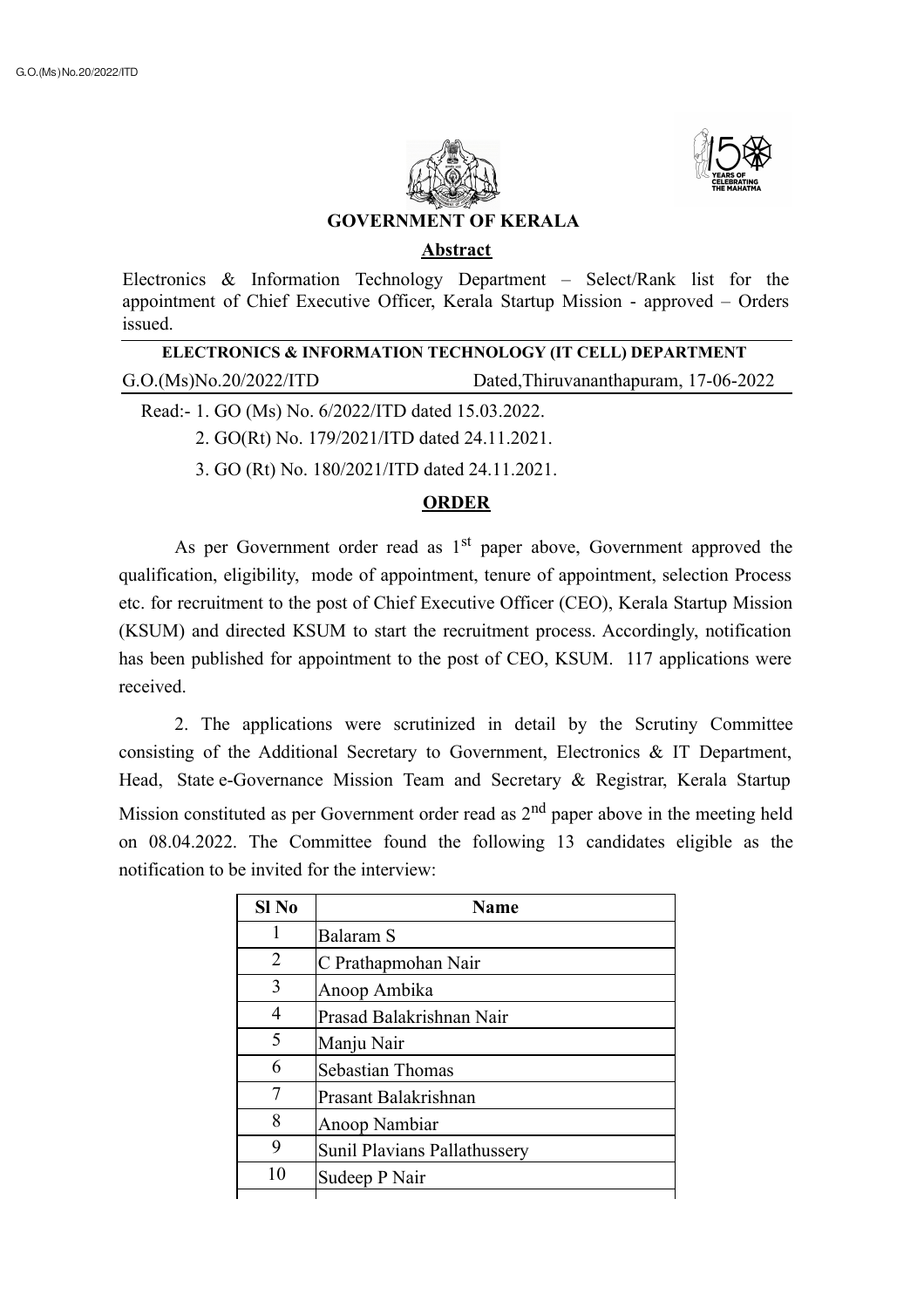



## **GOVERNMENT OF KERALA**

## **Abstract**

Electronics & Information Technology Department – Select/Rank list for the appointment of Chief Executive Officer, Kerala Startup Mission - approved – Orders issued.

| ELECTRONICS & INFORMATION TECHNOLOGY (IT CELL) DEPARTMENT |                                       |  |
|-----------------------------------------------------------|---------------------------------------|--|
| G.O.(Ms)No.20/2022/ITD                                    | Dated, Thiruvananthapuram, 17-06-2022 |  |
| Read:- 1. GO (Ms) No. 6/2022/ITD dated 15.03.2022.        |                                       |  |

2. GO(Rt) No. 179/2021/ITD dated 24.11.2021.

3. GO (Rt) No. 180/2021/ITD dated 24.11.2021.

## **ORDER**

As per Government order read as  $1<sup>st</sup>$  paper above, Government approved the qualification, eligibility, mode of appointment, tenure of appointment, selection Process etc. for recruitment to the post of Chief Executive Officer (CEO), Kerala Startup Mission (KSUM) and directed KSUM to start the recruitment process. Accordingly, notification has been published for appointment to the post of CEO, KSUM. 117 applications were received.

2. The applications were scrutinized in detail by the Scrutiny Committee consisting of the Additional Secretary to Government, Electronics & IT Department, Head, State e-Governance Mission Team and Secretary & Registrar, Kerala Startup Mission constituted as per Government order read as  $2<sup>nd</sup>$  paper above in the meeting held on 08.04.2022. The Committee found the following 13 candidates eligible as the notification to be invited for the interview:

| $SI$ No | <b>Name</b>                  |
|---------|------------------------------|
| 1       | Balaram S                    |
| 2       | C Prathapmohan Nair          |
| 3       | Anoop Ambika                 |
| 4       | Prasad Balakrishnan Nair     |
| 5       | Manju Nair                   |
| 6       | Sebastian Thomas             |
|         | Prasant Balakrishnan         |
| 8       | Anoop Nambiar                |
| 9       | Sunil Plavians Pallathussery |
| 10      | Sudeep P Nair                |
|         |                              |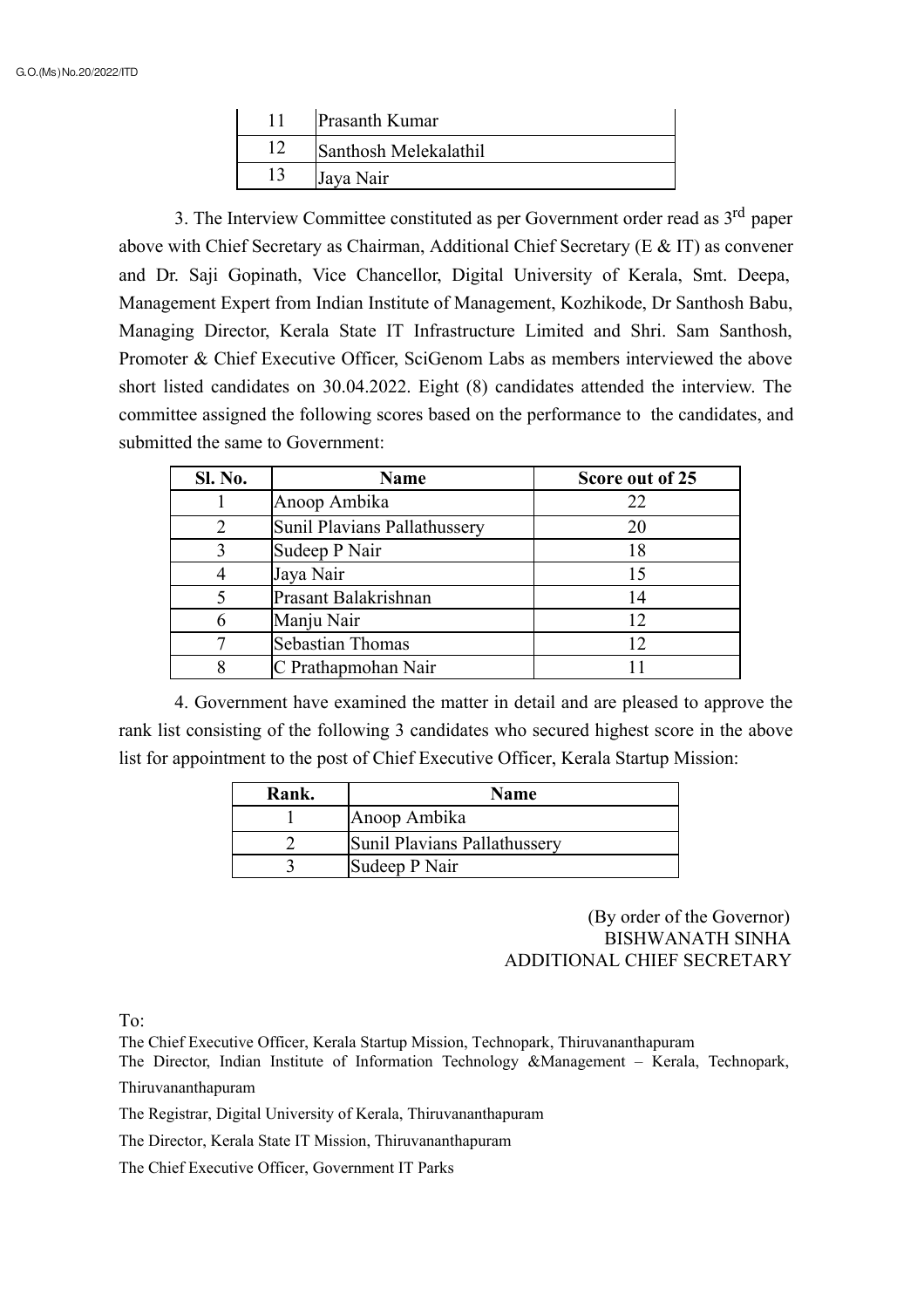| Prasanth Kumar        |
|-----------------------|
| Santhosh Melekalathil |
| Jaya Nair             |

3. The Interview Committee constituted as per Government order read as 3<sup>rd</sup> paper above with Chief Secretary as Chairman, Additional Chief Secretary (E & IT) as convener and Dr. Saji Gopinath, Vice Chancellor, Digital University of Kerala, Smt. Deepa, Management Expert from Indian Institute of Management, Kozhikode, Dr Santhosh Babu, Managing Director, Kerala State IT Infrastructure Limited and Shri. Sam Santhosh, Promoter & Chief Executive Officer, SciGenom Labs as members interviewed the above short listed candidates on 30.04.2022. Eight (8) candidates attended the interview. The committee assigned the following scores based on the performance to the candidates, and submitted the same to Government:

| Sl. No. | <b>Name</b>                  | Score out of 25 |
|---------|------------------------------|-----------------|
|         | Anoop Ambika                 | 22              |
|         | Sunil Plavians Pallathussery | 20              |
|         | Sudeep P Nair                | 18              |
|         | Jaya Nair                    |                 |
|         | Prasant Balakrishnan         | 14              |
|         | Manju Nair                   | 12              |
|         | <b>Sebastian Thomas</b>      | 12              |
|         | C Prathapmohan Nair          |                 |

4. Government have examined the matter in detail and are pleased to approve the rank list consisting of the following 3 candidates who secured highest score in the above list for appointment to the post of Chief Executive Officer, Kerala Startup Mission:

| Rank. | <b>Name</b>                  |
|-------|------------------------------|
|       | Anoop Ambika                 |
|       | Sunil Plavians Pallathussery |
|       | Sudeep P Nair                |

## (By order of the Governor) BISHWANATH SINHA ADDITIONAL CHIEF SECRETARY

To:

The Chief Executive Officer, Kerala Startup Mission, Technopark, Thiruvananthapuram

The Director, Indian Institute of Information Technology &Management – Kerala, Technopark, Thiruvananthapuram

The Registrar, Digital University of Kerala, Thiruvananthapuram

The Director, Kerala State IT Mission, Thiruvananthapuram

The Chief Executive Officer, Government IT Parks